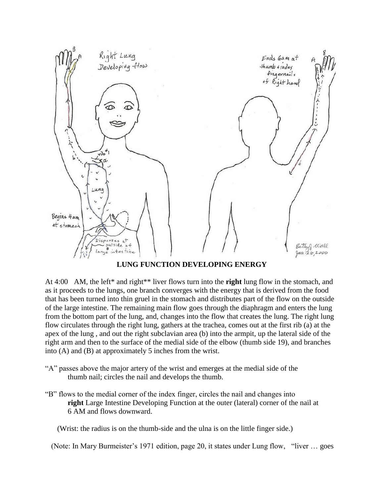

**LUNG FUNCTION DEVELOPING ENERGY** 

At 4:00 AM, the left\* and right\*\* liver flows turn into the **right** lung flow in the stomach, and as it proceeds to the lungs, one branch converges with the energy that is derived from the food that has been turned into thin gruel in the stomach and distributes part of the flow on the outside of the large intestine. The remaining main flow goes through the diaphragm and enters the lung from the bottom part of the lung, and, changes into the flow that creates the lung. The right lung flow circulates through the right lung, gathers at the trachea, comes out at the first rib (a) at the apex of the lung , and out the right subclavian area (b) into the armpit, up the lateral side of the right arm and then to the surface of the medial side of the elbow (thumb side 19), and branches into (A) and (B) at approximately 5 inches from the wrist.

- "A" passes above the major artery of the wrist and emerges at the medial side of the thumb nail; circles the nail and develops the thumb.
- "B" flows to the medial corner of the index finger, circles the nail and changes into **right** Large Intestine Developing Function at the outer (lateral) corner of the nail at 6 AM and flows downward.

(Wrist: the radius is on the thumb-side and the ulna is on the little finger side.)

(Note: In Mary Burmeister's 1971 edition, page 20, it states under Lung flow, "liver … goes